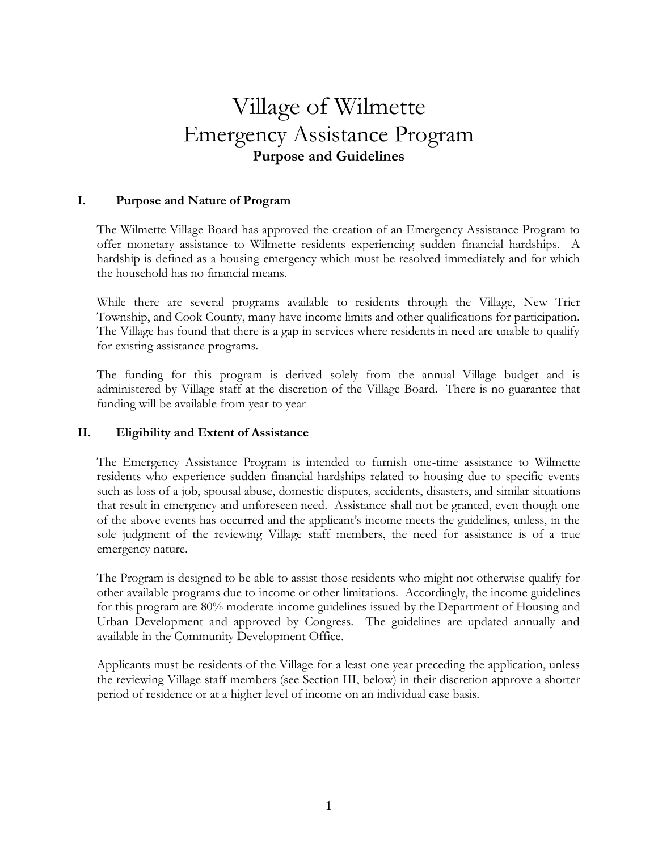# Village of Wilmette Emergency Assistance Program **Purpose and Guidelines**

## **I. Purpose and Nature of Program**

The Wilmette Village Board has approved the creation of an Emergency Assistance Program to offer monetary assistance to Wilmette residents experiencing sudden financial hardships. A hardship is defined as a housing emergency which must be resolved immediately and for which the household has no financial means.

While there are several programs available to residents through the Village, New Trier Township, and Cook County, many have income limits and other qualifications for participation. The Village has found that there is a gap in services where residents in need are unable to qualify for existing assistance programs.

The funding for this program is derived solely from the annual Village budget and is administered by Village staff at the discretion of the Village Board. There is no guarantee that funding will be available from year to year

## **II. Eligibility and Extent of Assistance**

The Emergency Assistance Program is intended to furnish one-time assistance to Wilmette residents who experience sudden financial hardships related to housing due to specific events such as loss of a job, spousal abuse, domestic disputes, accidents, disasters, and similar situations that result in emergency and unforeseen need. Assistance shall not be granted, even though one of the above events has occurred and the applicant's income meets the guidelines, unless, in the sole judgment of the reviewing Village staff members, the need for assistance is of a true emergency nature.

The Program is designed to be able to assist those residents who might not otherwise qualify for other available programs due to income or other limitations. Accordingly, the income guidelines for this program are 80% moderate-income guidelines issued by the Department of Housing and Urban Development and approved by Congress. The guidelines are updated annually and available in the Community Development Office.

Applicants must be residents of the Village for a least one year preceding the application, unless the reviewing Village staff members (see Section III, below) in their discretion approve a shorter period of residence or at a higher level of income on an individual case basis.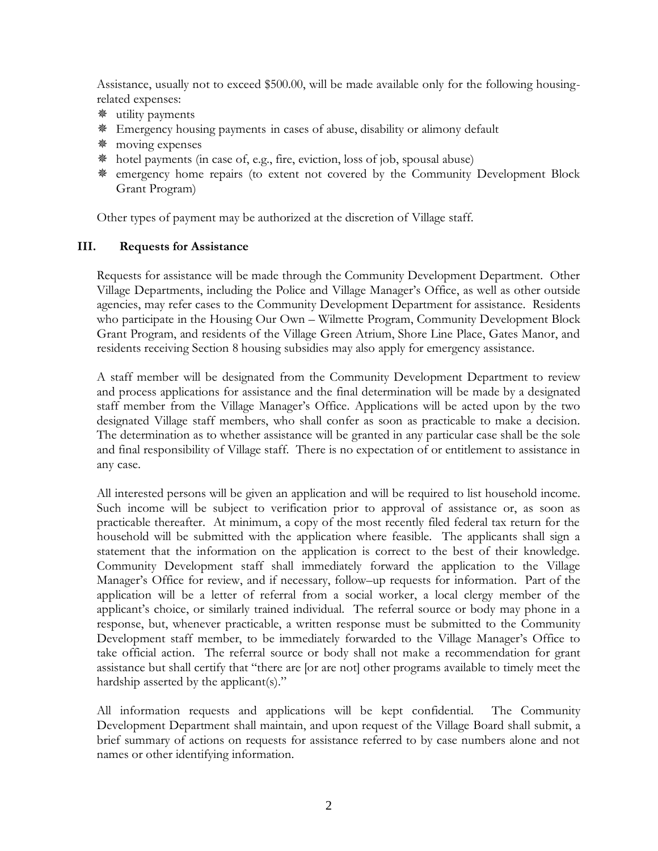Assistance, usually not to exceed \$500.00, will be made available only for the following housingrelated expenses:

- utility payments
- Emergency housing payments in cases of abuse, disability or alimony default
- moving expenses
- hotel payments (in case of, e.g., fire, eviction, loss of job, spousal abuse)
- emergency home repairs (to extent not covered by the Community Development Block Grant Program)

Other types of payment may be authorized at the discretion of Village staff.

## **III. Requests for Assistance**

Requests for assistance will be made through the Community Development Department. Other Village Departments, including the Police and Village Manager's Office, as well as other outside agencies, may refer cases to the Community Development Department for assistance. Residents who participate in the Housing Our Own – Wilmette Program, Community Development Block Grant Program, and residents of the Village Green Atrium, Shore Line Place, Gates Manor, and residents receiving Section 8 housing subsidies may also apply for emergency assistance.

A staff member will be designated from the Community Development Department to review and process applications for assistance and the final determination will be made by a designated staff member from the Village Manager's Office. Applications will be acted upon by the two designated Village staff members, who shall confer as soon as practicable to make a decision. The determination as to whether assistance will be granted in any particular case shall be the sole and final responsibility of Village staff. There is no expectation of or entitlement to assistance in any case.

All interested persons will be given an application and will be required to list household income. Such income will be subject to verification prior to approval of assistance or, as soon as practicable thereafter. At minimum, a copy of the most recently filed federal tax return for the household will be submitted with the application where feasible. The applicants shall sign a statement that the information on the application is correct to the best of their knowledge. Community Development staff shall immediately forward the application to the Village Manager's Office for review, and if necessary, follow–up requests for information. Part of the application will be a letter of referral from a social worker, a local clergy member of the applicant's choice, or similarly trained individual. The referral source or body may phone in a response, but, whenever practicable, a written response must be submitted to the Community Development staff member, to be immediately forwarded to the Village Manager's Office to take official action. The referral source or body shall not make a recommendation for grant assistance but shall certify that "there are [or are not] other programs available to timely meet the hardship asserted by the applicant(s)."

All information requests and applications will be kept confidential. The Community Development Department shall maintain, and upon request of the Village Board shall submit, a brief summary of actions on requests for assistance referred to by case numbers alone and not names or other identifying information.